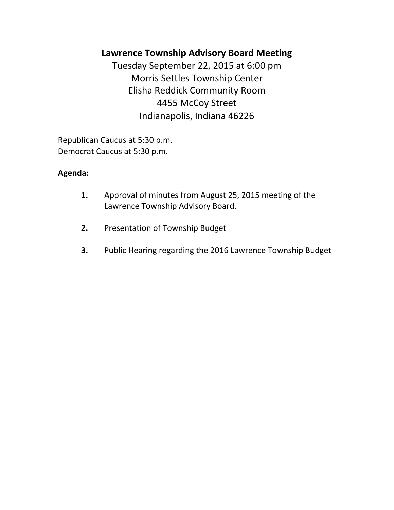# **Lawrence Township Advisory Board Meeting**

Tuesday September 22, 2015 at 6:00 pm Morris Settles Township Center Elisha Reddick Community Room 4455 McCoy Street Indianapolis, Indiana 46226

Republican Caucus at 5:30 p.m. Democrat Caucus at 5:30 p.m.

## **Agenda:**

- **1.** Approval of minutes from August 25, 2015 meeting of the Lawrence Township Advisory Board.
- **2.** Presentation of Township Budget
- **3.** Public Hearing regarding the 2016 Lawrence Township Budget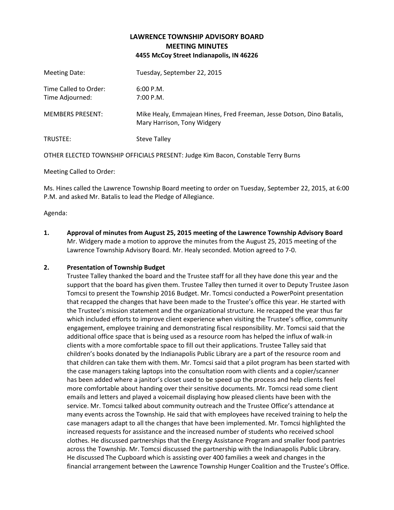### **LAWRENCE TOWNSHIP ADVISORY BOARD MEETING MINUTES 4455 McCoy Street Indianapolis, IN 46226**

| Meeting Date:                            | Tuesday, September 22, 2015                                                                          |
|------------------------------------------|------------------------------------------------------------------------------------------------------|
| Time Called to Order:<br>Time Adjourned: | 6:00 P.M.<br>7:00 P.M.                                                                               |
| <b>MEMBERS PRESENT:</b>                  | Mike Healy, Emmajean Hines, Fred Freeman, Jesse Dotson, Dino Batalis,<br>Mary Harrison, Tony Widgery |
| TRUSTEE:                                 | Steve Talley                                                                                         |

OTHER ELECTED TOWNSHIP OFFICIALS PRESENT: Judge Kim Bacon, Constable Terry Burns

Meeting Called to Order:

Ms. Hines called the Lawrence Township Board meeting to order on Tuesday, September 22, 2015, at 6:00 P.M. and asked Mr. Batalis to lead the Pledge of Allegiance.

Agenda:

**1. Approval of minutes from August 25, 2015 meeting of the Lawrence Township Advisory Board** Mr. Widgery made a motion to approve the minutes from the August 25, 2015 meeting of the Lawrence Township Advisory Board. Mr. Healy seconded. Motion agreed to 7-0.

#### **2. Presentation of Township Budget**

Trustee Talley thanked the board and the Trustee staff for all they have done this year and the support that the board has given them. Trustee Talley then turned it over to Deputy Trustee Jason Tomcsi to present the Township 2016 Budget. Mr. Tomcsi conducted a PowerPoint presentation that recapped the changes that have been made to the Trustee's office this year. He started with the Trustee's mission statement and the organizational structure. He recapped the year thus far which included efforts to improve client experience when visiting the Trustee's office, community engagement, employee training and demonstrating fiscal responsibility. Mr. Tomcsi said that the additional office space that is being used as a resource room has helped the influx of walk-in clients with a more comfortable space to fill out their applications. Trustee Talley said that children's books donated by the Indianapolis Public Library are a part of the resource room and that children can take them with them. Mr. Tomcsi said that a pilot program has been started with the case managers taking laptops into the consultation room with clients and a copier/scanner has been added where a janitor's closet used to be speed up the process and help clients feel more comfortable about handing over their sensitive documents. Mr. Tomcsi read some client emails and letters and played a voicemail displaying how pleased clients have been with the service. Mr. Tomcsi talked about community outreach and the Trustee Office's attendance at many events across the Township. He said that with employees have received training to help the case managers adapt to all the changes that have been implemented. Mr. Tomcsi highlighted the increased requests for assistance and the increased number of students who received school clothes. He discussed partnerships that the Energy Assistance Program and smaller food pantries across the Township. Mr. Tomcsi discussed the partnership with the Indianapolis Public Library. He discussed The Cupboard which is assisting over 400 families a week and changes in the financial arrangement between the Lawrence Township Hunger Coalition and the Trustee's Office.